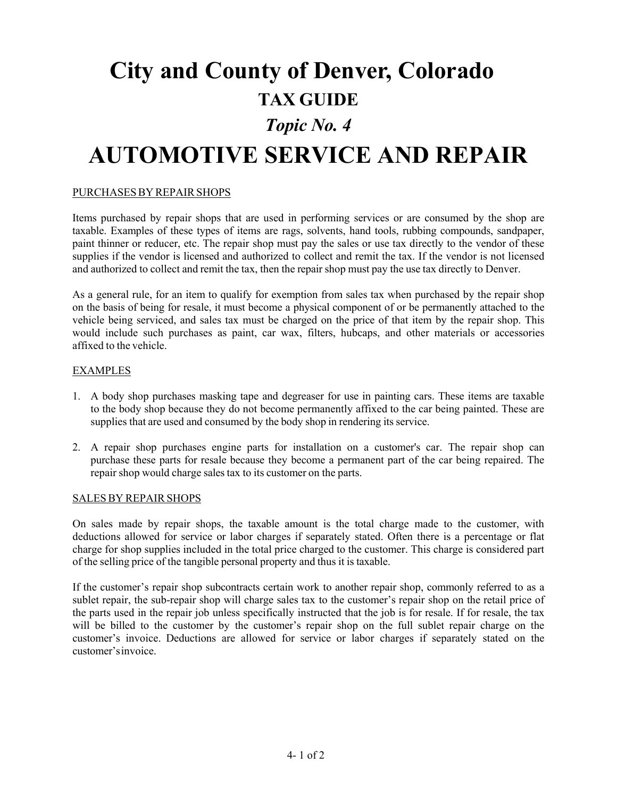# **City and County of Denver, Colorado TAX GUIDE** *Topic No. 4* **AUTOMOTIVE SERVICE AND REPAIR**

# PURCHASES BY REPAIR SHOPS

Items purchased by repair shops that are used in performing services or are consumed by the shop are taxable. Examples of these types of items are rags, solvents, hand tools, rubbing compounds, sandpaper, paint thinner or reducer, etc. The repair shop must pay the sales or use tax directly to the vendor of these supplies if the vendor is licensed and authorized to collect and remit the tax. If the vendor is not licensed and authorized to collect and remit the tax, then the repair shop must pay the use tax directly to Denver.

As a general rule, for an item to qualify for exemption from sales tax when purchased by the repair shop on the basis of being for resale, it must become a physical component of or be permanently attached to the vehicle being serviced, and sales tax must be charged on the price of that item by the repair shop. This would include such purchases as paint, car wax, filters, hubcaps, and other materials or accessories affixed to the vehicle.

# EXAMPLES

- 1. A body shop purchases masking tape and degreaser for use in painting cars. These items are taxable to the body shop because they do not become permanently affixed to the car being painted. These are supplies that are used and consumed by the body shop in rendering its service.
- 2. A repair shop purchases engine parts for installation on a customer's car. The repair shop can purchase these parts for resale because they become a permanent part of the car being repaired. The repair shop would charge sales tax to its customer on the parts.

#### SALES BY REPAIR SHOPS

On sales made by repair shops, the taxable amount is the total charge made to the customer, with deductions allowed for service or labor charges if separately stated. Often there is a percentage or flat charge for shop supplies included in the total price charged to the customer. This charge is considered part of the selling price of the tangible personal property and thus it is taxable.

If the customer's repair shop subcontracts certain work to another repair shop, commonly referred to as a sublet repair, the sub-repair shop will charge sales tax to the customer's repair shop on the retail price of the parts used in the repair job unless specifically instructed that the job is for resale. If for resale, the tax will be billed to the customer by the customer's repair shop on the full sublet repair charge on the customer's invoice. Deductions are allowed for service or labor charges if separately stated on the customer'sinvoice.